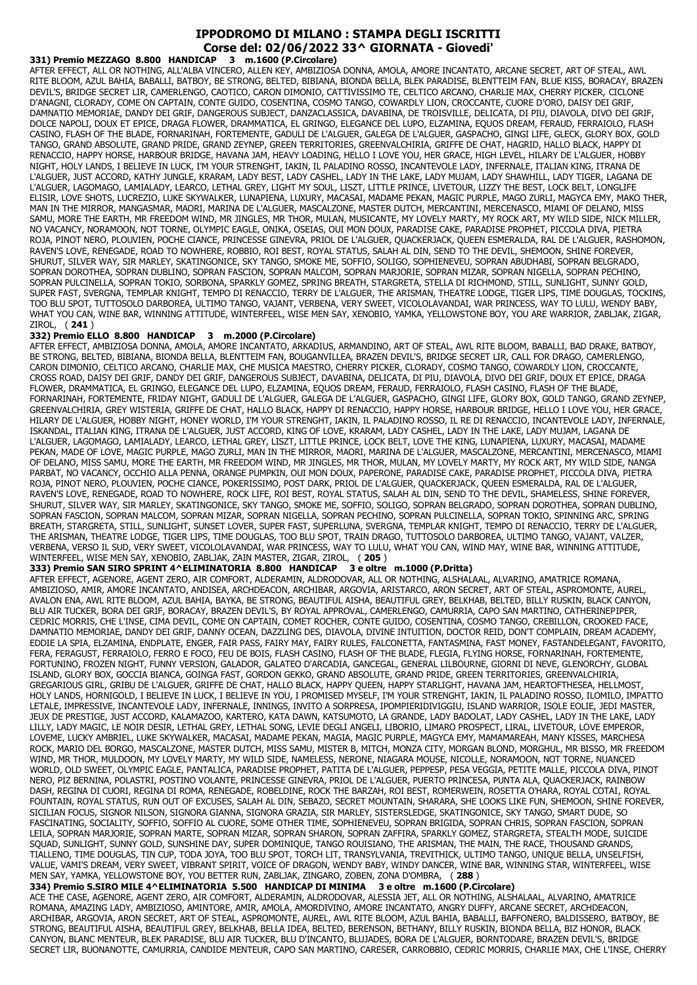## **IPPODROMO DI MILANO : STAMPA DEGLI ISCRITTI Corse del: 02/06/2022 33^ GIORNATA - Giovedi'**

**331) Premio MEZZAGO 8.800 HANDICAP 3 m.1600 (P.Circolare)** AFTER EFFECT, ALL OR NOTHING, ALL'ALBA VINCERO, ALLEN KEY, AMBIZIOSA DONNA, AMOLA, AMORE INCANTATO, ARCANE SECRET, ART OF STEAL, AWL RITE BLOOM, AZUL BAHIA, BABALLI, BATBOY, BE STRONG, BELTED, BIBIANA, BIONDA BELLA, BLEK PARADISE, BLENTTEIM FAN, BLUE KISS, BORACAY, BRAZEN DEVIL'S, BRIDGE SECRET LIR, CAMERLENGO, CAOTICO, CARON DIMONIO, CATTIVISSIMO TE, CELTICO ARCANO, CHARLIE MAX, CHERRY PICKER, CICLONE D'ANAGNI, CLORADY, COME ON CAPTAIN, CONTE GUIDO, COSENTINA, COSMO TANGO, COWARDLY LION, CROCCANTE, CUORE D'ORO, DAISY DEI GRIF, DAMNATIO MEMORIAE, DANDY DEI GRIF, DANGEROUS SUBJECT, DANZACLASSICA, DAVABINA, DE TROISVILLE, DELICATA, DI PIU, DIAVOLA, DIVO DEI GRIF, DOLCE NAPOLI, DOUX ET EPICE, DRAGA FLOWER, DRAMMATICA, EL GRINGO, ELEGANCE DEL LUPO, ELZAMINA, EQUOS DREAM, FERAUD, FERRAIOLO, FLASH CASINO, FLASH OF THE BLADE, FORNARINAH, FORTEMENTE, GADULI DE L'ALGUER, GALEGA DE L'ALGUER, GASPACHO, GINGI LIFE, GLECK, GLORY BOX, GOLD TANGO, GRAND ABSOLUTE, GRAND PRIDE, GRAND ZEYNEP, GREEN TERRITORIES, GREENVALCHIRIA, GRIFFE DE CHAT, HAGRID, HALLO BLACK, HAPPY DI RENACCIO, HAPPY HORSE, HARBOUR BRIDGE, HAVANA JAM, HEAVY LOADING, HELLO I LOVE YOU, HER GRACE, HIGH LEVEL, HILARY DE L'ALGUER, HOBBY NIGHT, HOLY LANDS, I BELIEVE IN LUCK, I'M YOUR STRENGHT, IAKIN, IL PALADINO ROSSO, INCANTEVOLE LADY, INFERNALE, ITALIAN KING, ITRANA DE L'ALGUER, JUST ACCORD, KATHY JUNGLE, KRARAM, LADY BEST, LADY CASHEL, LADY IN THE LAKE, LADY MUJAM, LADY SHAWHILL, LADY TIGER, LAGANA DE L'ALGUER, LAGOMAGO, LAMIALADY, LEARCO, LETHAL GREY, LIGHT MY SOUL, LISZT, LITTLE PRINCE, LIVETOUR, LIZZY THE BEST, LOCK BELT, LONGLIFE ELISIR, LOVE SHOTS, LUCREZIO, LUKE SKYWALKER, LUNAPIENA, LUXURY, MACASAI, MADAME PEKAN, MAGIC PURPLE, MAGO ZURLI, MAGYCA EMY, MAKO THER, MAN IN THE MIRROR, MANGASMAR, MAORI, MARINA DE L'ALGUER, MASCALZONE, MASTER DUTCH, MERCANTINI, MERCENASCO, MIAMI OF DELANO, MISS SAMU, MORE THE EARTH, MR FREEDOM WIND, MR JINGLES, MR THOR, MULAN, MUSICANTE, MY LOVELY MARTY, MY ROCK ART, MY WILD SIDE, NICK MILLER, NO VACANCY, NORAMOON, NOT TORNE, OLYMPIC EAGLE, ONIKA, OSEIAS, OUI MON DOUX, PARADISE CAKE, PARADISE PROPHET, PICCOLA DIVA, PIETRA ROJA, PINOT NERO, PLOUVIEN, POCHE CIANCE, PRINCESSE GINEVRA, PRIOL DE L'ALGUER, QUACKERJACK, QUEEN ESMERALDA, RAL DE L'ALGUER, RASHOMON, RAVEN'S LOVE, RENEGADE, ROAD TO NOWHERE, ROBBIO, ROI BEST, ROYAL STATUS, SALAH AL DIN, SEND TO THE DEVIL, SHEMOON, SHINE FOREVER, SHURUT, SILVER WAY, SIR MARLEY, SKATINGONICE, SKY TANGO, SMOKE ME, SOFFIO, SOLIGO, SOPHIENEVEU, SOPRAN ABUDHABI, SOPRAN BELGRADO, SOPRAN DOROTHEA, SOPRAN DUBLINO, SOPRAN FASCION, SOPRAN MALCOM, SOPRAN MARJORIE, SOPRAN MIZAR, SOPRAN NIGELLA, SOPRAN PECHINO, SOPRAN PULCINELLA, SOPRAN TOKIO, SORBONA, SPARKLY GOMEZ, SPRING BREATH, STARGRETA, STELLA DI RICHMOND, STILL, SUNLIGHT, SUNNY GOLD, SUPER FAST, SVERGNA, TEMPLAR KNIGHT, TEMPO DI RENACCIO, TERRY DE L'ALGUER, THE ARISMAN, THEATRE LODGE, TIGER LIPS, TIME DOUGLAS, TOCKINS, TOO BLU SPOT, TUTTOSOLO DARBOREA, ULTIMO TANGO, VAJANT, VERBENA, VERY SWEET, VICOLOLAVANDAI, WAR PRINCESS, WAY TO LULU, WENDY BABY, WHAT YOU CAN, WINE BAR, WINNING ATTITUDE, WINTERFEEL, WISE MEN SAY, XENOBIO, YAMKA, YELLOWSTONE BOY, YOU ARE WARRIOR, ZABLJAK, ZIGAR, ZIROL, ( **241** )

## **332) Premio ELLO 8.800 HANDICAP 3 m.2000 (P.Circolare)**

AFTER EFFECT, AMBIZIOSA DONNA, AMOLA, AMORE INCANTATO, ARKADIUS, ARMANDINO, ART OF STEAL, AWL RITE BLOOM, BABALLI, BAD DRAKE, BATBOY, BE STRONG, BELTED, BIBIANA, BIONDA BELLA, BLENTTEIM FAN, BOUGANVILLEA, BRAZEN DEVIL'S, BRIDGE SECRET LIR, CALL FOR DRAGO, CAMERLENGO, CARON DIMONIO, CELTICO ARCANO, CHARLIE MAX, CHE MUSICA MAESTRO, CHERRY PICKER, CLORADY, COSMO TANGO, COWARDLY LION, CROCCANTE, CROSS ROAD, DAISY DEI GRIF, DANDY DEI GRIF, DANGEROUS SUBJECT, DAVABINA, DELICATA, DI PIU, DIAVOLA, DIVO DEI GRIF, DOUX ET EPICE, DRAGA FLOWER, DRAMMATICA, EL GRINGO, ELEGANCE DEL LUPO, ELZAMINA, EQUOS DREAM, FERAUD, FERRAIOLO, FLASH CASINO, FLASH OF THE BLADE, FORNARINAH, FORTEMENTE, FRIDAY NIGHT, GADULI DE L'ALGUER, GALEGA DE L'ALGUER, GASPACHO, GINGI LIFE, GLORY BOX, GOLD TANGO, GRAND ZEYNEP, GREENVALCHIRIA, GREY WISTERIA, GRIFFE DE CHAT, HALLO BLACK, HAPPY DI RENACCIO, HAPPY HORSE, HARBOUR BRIDGE, HELLO I LOVE YOU, HER GRACE, HILARY DE L'ALGUER, HOBBY NIGHT, HONEY WORLD, I'M YOUR STRENGHT, IAKIN, IL PALADINO ROSSO, IL RE DI RENACCIO, INCANTEVOLE LADY, INFERNALE, ISKANDAL, ITALIAN KING, ITRANA DE L'ALGUER, JUST ACCORD, KING OF LOVE, KRARAM, LADY CASHEL, LADY IN THE LAKE, LADY MUJAM, LAGANA DE L'ALGUER, LAGOMAGO, LAMIALADY, LEARCO, LETHAL GREY, LISZT, LITTLE PRINCE, LOCK BELT, LOVE THE KING, LUNAPIENA, LUXURY, MACASAI, MADAME PEKAN, MADE OF LOVE, MAGIC PURPLE, MAGO ZURLI, MAN IN THE MIRROR, MAORI, MARINA DE L'ALGUER, MASCALZONE, MERCANTINI, MERCENASCO, MIAMI OF DELANO, MISS SAMU, MORE THE EARTH, MR FREEDOM WIND, MR JINGLES, MR THOR, MULAN, MY LOVELY MARTY, MY ROCK ART, MY WILD SIDE, NANGA PARBAT, NO VACANCY, OCCHIO ALLA PENNA, ORANGE PUMPKIN, OUI MON DOUX, PAPERONE, PARADISE CAKE, PARADISE PROPHET, PICCOLA DIVA, PIETRA ROJA, PINOT NERO, PLOUVIEN, POCHE CIANCE, POKERISSIMO, POST DARK, PRIOL DE L'ALGUER, QUACKERJACK, QUEEN ESMERALDA, RAL DE L'ALGUER, RAVEN'S LOVE, RENEGADE, ROAD TO NOWHERE, ROCK LIFE, ROI BEST, ROYAL STATUS, SALAH AL DIN, SEND TO THE DEVIL, SHAMELESS, SHINE FOREVER, SHURUT, SILVER WAY, SIR MARLEY, SKATINGONICE, SKY TANGO, SMOKE ME, SOFFIO, SOLIGO, SOPRAN BELGRADO, SOPRAN DOROTHEA, SOPRAN DUBLINO, SOPRAN FASCION, SOPRAN MALCOM, SOPRAN MIZAR, SOPRAN NIGELLA, SOPRAN PECHINO, SOPRAN PULCINELLA, SOPRAN TOKIO, SPINNING ARC, SPRING BREATH, STARGRETA, STILL, SUNLIGHT, SUNSET LOVER, SUPER FAST, SUPERLUNA, SVERGNA, TEMPLAR KNIGHT, TEMPO DI RENACCIO, TERRY DE L'ALGUER, THE ARISMAN, THEATRE LODGE, TIGER LIPS, TIME DOUGLAS, TOO BLU SPOT, TRAIN DRAGO, TUTTOSOLO DARBOREA, ULTIMO TANGO, VAJANT, VALZER, VERBENA, VERSO IL SUD, VERY SWEET, VICOLOLAVANDAI, WAR PRINCESS, WAY TO LULU, WHAT YOU CAN, WIND MAY, WINE BAR, WINNING ATTITUDE, WINTERFEEL, WISE MEN SAY, XENOBIO, ZABLJAK, ZAIN MASTER, ZIGAR, ZIROL, ( **205** )

## **333) Premio SAN SIRO SPRINT 4^ELIMINATORIA 8.800 HANDICAP 3 e oltre m.1000 (P.Dritta)**

AFTER EFFECT, AGENORE, AGENT ZERO, AIR COMFORT, ALDERAMIN, ALDRODOVAR, ALL OR NOTHING, ALSHALAAL, ALVARINO, AMATRICE ROMANA, AMBIZIOSO, AMIR, AMORE INCANTATO, ANDISEA, ARCHDEACON, ARCHIBAR, ARGOVIA, ARISTARCO, ARON SECRET, ART OF STEAL, ASPROMONTE, AUREL, AVALON ENA, AWL RITE BLOOM, AZUL BAHIA, BAYKA, BE STRONG, BEAUTIFUL AISHA, BEAUTIFUL GREY, BELKHAB, BELTED, BILLY RUSKIN, BLACK CANYON, BLU AIR TUCKER, BORA DEI GRIF, BORACAY, BRAZEN DEVIL'S, BY ROYAL APPROVAL, CAMERLENGO, CAMURRIA, CAPO SAN MARTINO, CATHERINEPIPER, CEDRIC MORRIS, CHE L'INSE, CIMA DEVIL, COME ON CAPTAIN, COMET ROCHER, CONTE GUIDO, COSENTINA, COSMO TANGO, CREBILLON, CROOKED FACE, DAMNATIO MEMORIAE, DANDY DEI GRIF, DANNY OCEAN, DAZZLING DES, DIAVOLA, DIVINE INTUITION, DOCTOR REID, DON'T COMPLAIN, DREAM ACADEMY, EDDIE LA SPIA, ELZAMINA, ENDPLATE, ENGER, FAIR PASS, FAIRY MAY, FAIRY RULES, FALCONETTA, FANTASMINA, FAST MONEY, FASTANDELEGANT, FAVORITO, FERA, FERAGUST, FERRAIOLO, FERRO E FOCO, FEU DE BOIS, FLASH CASINO, FLASH OF THE BLADE, FLEGIA, FLYING HORSE, FORNARINAH, FORTEMENTE, FORTUNINO, FROZEN NIGHT, FUNNY VERSION, GALADOR, GALATEO D'ARCADIA, GANCEGAL, GENERAL LILBOURNE, GIORNI DI NEVE, GLENORCHY, GLOBAL ISLAND, GLORY BOX, GOCCIA BIANCA, GOINGA FAST, GORDON GEKKO, GRAND ABSOLUTE, GRAND PRIDE, GREEN TERRITORIES, GREENVALCHIRIA, GREGARIOUS GIRL, GRIBU DE L'ALGUER, GRIFFE DE CHAT, HALLO BLACK, HAPPY QUEEN, HAPPY STARLIGHT, HAVANA JAM, HEARTOFTHESEA, HELLMOST, HOLY LANDS, HORNIGOLD, I BELIEVE IN LUCK, I BELIEVE IN YOU, I PROMISED MYSELF, I'M YOUR STRENGHT, IAKIN, IL PALADINO ROSSO, ILOMILO, IMPATTO LETALE, IMPRESSIVE, INCANTEVOLE LADY, INFERNALE, INNINGS, INVITO A SORPRESA, IPOMPIERIDIVIGGIU, ISLAND WARRIOR, ISOLE EOLIE, JEDI MASTER, JEUX DE PRESTIGE, JUST ACCORD, KALAMAZOO, KARTERO, KATA DAWN, KATSUMOTO, LA GRANDE, LADY BADOLAT, LADY CASHEL, LADY IN THE LAKE, LADY LILLY, LADY MAGIC, LE NOIR DESIR, LETHAL GREY, LETHAL SONG, LEVIE DEGLI ANGELI, LIBORIO, LIMARO PROSPECT, LIRAL, LIVETOUR, LOVE EMPEROR, LOVEME, LUCKY AMBRIEL, LUKE SKYWALKER, MACASAI, MADAME PEKAN, MAGIA, MAGIC PURPLE, MAGYCA EMY, MAMAMAREAH, MANY KISSES, MARCHESA ROCK, MARIO DEL BORGO, MASCALZONE, MASTER DUTCH, MISS SAMU, MISTER B, MITCH, MONZA CITY, MORGAN BLOND, MORGHUL, MR BISSO, MR FREEDOM WIND, MR THOR, MULDOON, MY LOVELY MARTY, MY WILD SIDE, NAMELESS, NERONE, NIAGARA MOUSE, NICOLLE, NORAMOON, NOT TORNE, NUANCED WORLD, OLD SWEET, OLYMPIC EAGLE, PANTALICA, PARADISE PROPHET, PATITA DE L'ALGUER, PEPPESP, PESA VEGGIA, PETITE MALLE, PICCOLA DIVA, PINOT NERO, PIZ BERNINA, POLASTRI, POSTINO VOLANTE, PRINCESSE GINEVRA, PRIOL DE L'ALGUER, PUERTO PRINCESA, PUNTA ALA, QUACKERJACK, RAINBOW DASH, REGINA DI CUORI, REGINA DI ROMA, RENEGADE, ROBELDINE, ROCK THE BARZAH, ROI BEST, ROMERWEIN, ROSETTA O'HARA, ROYAL COTAI, ROYAL FOUNTAIN, ROYAL STATUS, RUN OUT OF EXCUSES, SALAH AL DIN, SEBAZO, SECRET MOUNTAIN, SHARARA, SHE LOOKS LIKE FUN, SHEMOON, SHINE FOREVER, SICILIAN FOCUS, SIGNOR NILSON, SIGNORA GIANNA, SIGNORA GRAZIA, SIR MARLEY, SISTERSLEDGE, SKATINGONICE, SKY TANGO, SMART DUDE, SO FASCINATING, SOCIALITY, SOFFIO, SOFFIO AL CUORE, SOME OTHER TIME, SOPHIENEVEU, SOPRAN BRIGIDA, SOPRAN CHRIS, SOPRAN FASCION, SOPRAN LEILA, SOPRAN MARJORIE, SOPRAN MARTE, SOPRAN MIZAR, SOPRAN SHARON, SOPRAN ZAFFIRA, SPARKLY GOMEZ, STARGRETA, STEALTH MODE, SUICIDE SQUAD, SUNLIGHT, SUNNY GOLD, SUNSHINE DAY, SUPER DOMINIQUE, TANGO ROUISIANO, THE ARISMAN, THE MAIN, THE RACE, THOUSAND GRANDS, TIALLENO, TIME DOUGLAS, TIN CUP, TODA JOYA, TOO BLU SPOT, TORCH LIT, TRANSYLVANIA, TREVITHICK, ULTIMO TANGO, UNIQUE BELLA, UNSELFISH, VALUE, VAMI'S DREAM, VERY SWEET, VIBRANT SPIRIT, VOICE OF DRAGON, WENDY BABY, WINDY DANCER, WINE BAR, WINNING STAR, WINTERFEEL, WISE MEN SAY, YAMKA, YELLOWSTONE BOY, YOU BETTER RUN, ZABLJAK, ZINGARO, ZOBEN, ZONA D'OMBRA, ( **288** )

**334) Premio S.SIRO MILE 4^ELIMINATORIA 5.500 HANDICAP DI MINIMA 3 e oltre m.1600 (P.Circolare)**

ACE THE CASE, AGENORE, AGENT ZERO, AIR COMFORT, ALDERAMIN, ALDRODOVAR, ALESSIA JET, ALL OR NOTHING, ALSHALAAL, ALVARINO, AMATRICE ROMANA, AMAZING LADY, AMBIZIOSO, AMINTORE, AMIR, AMOLA, AMORDIVINO, AMORE INCANTATO, ANGRY DUFFY, ARCANE SECRET, ARCHDEACON, ARCHIBAR, ARGOVIA, ARON SECRET, ART OF STEAL, ASPROMONTE, AUREL, AWL RITE BLOOM, AZUL BAHIA, BABALLI, BAFFONERO, BALDISSERO, BATBOY, BE STRONG, BEAUTIFUL AISHA, BEAUTIFUL GREY, BELKHAB, BELLA IDEA, BELTED, BERENSON, BETHANY, BILLY RUSKIN, BIONDA BELLA, BIZ HONOR, BLACK CANYON, BLANC MENTEUR, BLEK PARADISE, BLU AIR TUCKER, BLU D'INCANTO, BLUJADES, BORA DE L'ALGUER, BORNTODARE, BRAZEN DEVIL'S, BRIDGE SECRET LIR, BUONANOTTE, CAMURRIA, CANDIDE MENTEUR, CAPO SAN MARTINO, CARESER, CARROBBIO, CEDRIC MORRIS, CHARLIE MAX, CHE L'INSE, CHERRY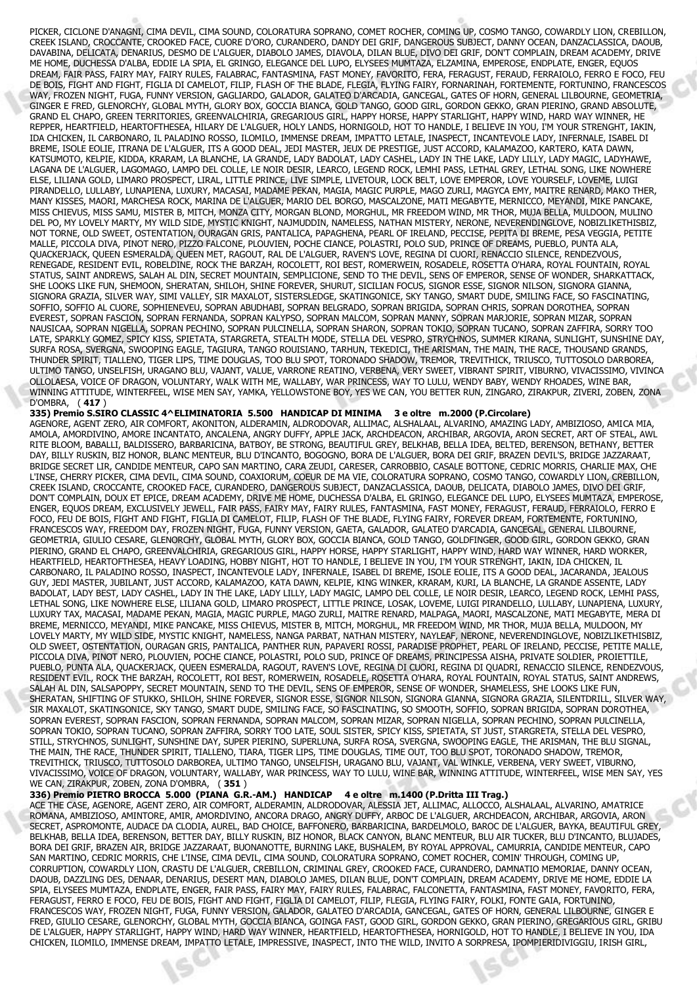PICKER, CICLONE D'ANAGNI, CIMA DEVIL, CIMA SOUND, COLORATURA SOPRANO, COMET ROCHER, COMING UP, COSMO TANGO, COWARDLY LION, CREBILLON, CREEK ISLAND, CROCCANTE, CROOKED FACE, CUORE D'ORO, CURANDERO, DANDY DEI GRIF, DANGEROUS SUBJECT, DANNY OCEAN, DANZACLASSICA, DAOUB, DAVABINA, DELICATA, DENARIUS, DESMO DE L'ALGUER, DIABOLO JAMES, DIAVOLA, DILAN BLUE, DIVO DEI GRIF, DON'T COMPLAIN, DREAM ACADEMY, DRIVE ME HOME, DUCHESSA D'ALBA, EDDIE LA SPIA, EL GRINGO, ELEGANCE DEL LUPO, ELYSEES MUMTAZA, ELZAMINA, EMPEROSE, ENDPLATE, ENGER, EQUOS DREAM, FAIR PASS, FAIRY MAY, FAIRY RULES, FALABRAC, FANTASMINA, FAST MONEY, FAVORITO, FERA, FERAGUST, FERAUD, FERRAIOLO, FERRO E FOCO, FEU DE BOIS, FIGHT AND FIGHT, FIGLIA DI CAMELOT, FILIP, FLASH OF THE BLADE, FLEGIA, FLYING FAIRY, FORNARINAH, FORTEMENTE, FORTUNINO, FRANCESCOS WAY, FROZEN NIGHT, FUGA, FUNNY VERSION, GAGLIARDO, GALADOR, GALATEO D'ARCADIA, GANCEGAL, GATES OF HORN, GENERAL LILBOURNE, GEOMETRIA, GINGER E FRED, GLENORCHY, GLOBAL MYTH, GLORY BOX, GOCCIA BIANCA, GOLD TANGO, GOOD GIRL, GORDON GEKKO, GRAN PIERINO, GRAND ABSOLUTE, GRAND EL CHAPO, GREEN TERRITORIES, GREENVALCHIRIA, GREGARIOUS GIRL, HAPPY HORSE, HAPPY STARLIGHT, HAPPY WIND, HARD WAY WINNER, HE REPPER, HEARTFIELD, HEARTOFTHESEA, HILARY DE L'ALGUER, HOLY LANDS, HORNIGOLD, HOT TO HANDLE, I BELIEVE IN YOU, I'M YOUR STRENGHT, IAKIN, IDA CHICKEN, IL CARBONARO, IL PALADINO ROSSO, ILOMILO, IMMENSE DREAM, IMPATTO LETALE, INASPECT, INCANTEVOLE LADY, INFERNALE, ISABEL DI BREME, ISOLE EOLIE, ITRANA DE L'ALGUER, ITS A GOOD DEAL, JEDI MASTER, JEUX DE PRESTIGE, JUST ACCORD, KALAMAZOO, KARTERO, KATA DAWN, KATSUMOTO, KELPIE, KIDDA, KRARAM, LA BLANCHE, LA GRANDE, LADY BADOLAT, LADY CASHEL, LADY IN THE LAKE, LADY LILLY, LADY MAGIC, LADYHAWE, LAGANA DE L'ALGUER, LAGOMAGO, LAMPO DEL COLLE, LE NOIR DESIR, LEARCO, LEGEND ROCK, LEMHI PASS, LETHAL GREY, LETHAL SONG, LIKE NOWHERE ELSE, LILIANA GOLD, LIMARO PROSPECT, LIRAL, LITTLE PRINCE, LIVE SIMPLE, LIVETOUR, LOCK BELT, LOVE EMPEROR, LOVE YOURSELF, LOVEME, LUIGI PIRANDELLO, LULLABY, LUNAPIENA, LUXURY, MACASAI, MADAME PEKAN, MAGIA, MAGIC PURPLE, MAGO ZURLI, MAGYCA EMY, MAITRE RENARD, MAKO THER, MANY KISSES, MAORI, MARCHESA ROCK, MARINA DE L'ALGUER, MARIO DEL BORGO, MASCALZONE, MATI MEGABYTE, MERNICCO, MEYANDI, MIKE PANCAKE, MISS CHIEVUS, MISS SAMU, MISTER B, MITCH, MONZA CITY, MORGAN BLOND, MORGHUL, MR FREEDOM WIND, MR THOR, MUJA BELLA, MULDOON, MULINO DEL PO, MY LOVELY MARTY, MY WILD SIDE, MYSTIC KNIGHT, NAJMUDDIN, NAMELESS, NATHAN MISTERY, NERONE, NEVERENDINGLOVE, NOBIZLIKETHISBIZ, NOT TORNE, OLD SWEET, OSTENTATION, OURAGAN GRIS, PANTALICA, PAPAGHENA, PEARL OF IRELAND, PECCISE, PEPITA DI BREME, PESA VEGGIA, PETITE MALLE, PICCOLA DIVA, PINOT NERO, PIZZO FALCONE, PLOUVIEN, POCHE CIANCE, POLASTRI, POLO SUD, PRINCE OF DREAMS, PUEBLO, PUNTA ALA, QUACKERJACK, QUEEN ESMERALDA, QUEEN MET, RAGOUT, RAL DE L'ALGUER, RAVEN'S LOVE, REGINA DI CUORI, RENACCIO SILENCE, RENDEZVOUS, RENEGADE, RESIDENT EVIL, ROBELDINE, ROCK THE BARZAH, ROCOLETT, ROI BEST, ROMERWEIN, ROSADELE, ROSETTA O'HARA, ROYAL FOUNTAIN, ROYAL STATUS, SAINT ANDREWS, SALAH AL DIN, SECRET MOUNTAIN, SEMPLICIONE, SEND TO THE DEVIL, SENS OF EMPEROR, SENSE OF WONDER, SHARKATTACK, SHE LOOKS LIKE FUN, SHEMOON, SHERATAN, SHILOH, SHINE FOREVER, SHURUT, SICILIAN FOCUS, SIGNOR ESSE, SIGNOR NILSON, SIGNORA GIANNA, SIGNORA GRAZIA, SILVER WAY, SIMI VALLEY, SIR MAXALOT, SISTERSLEDGE, SKATINGONICE, SKY TANGO, SMART DUDE, SMILING FACE, SO FASCINATING, SOFFIO, SOFFIO AL CUORE, SOPHIENEVEU, SOPRAN ABUDHABI, SOPRAN BELGRADO, SOPRAN BRIGIDA, SOPRAN CHRIS, SOPRAN DOROTHEA, SOPRAN EVEREST, SOPRAN FASCION, SOPRAN FERNANDA, SOPRAN KALYPSO, SOPRAN MALCOM, SOPRAN MANNY, SOPRAN MARJORIE, SOPRAN MIZAR, SOPRAN NAUSICAA, SOPRAN NIGELLA, SOPRAN PECHINO, SOPRAN PULCINELLA, SOPRAN SHARON, SOPRAN TOKIO, SOPRAN TUCANO, SOPRAN ZAFFIRA, SORRY TOO LATE, SPARKLY GOMEZ, SPICY KISS, SPIETATA, STARGRETA, STEALTH MODE, STELLA DEL VESPRO, STRYCHNOS, SUMMER KIRANA, SUNLIGHT, SUNSHINE DAY, SURFA ROSA, SVERGNA, SWOOPING EAGLE, TAGIURA, TANGO ROUISIANO, TARHUN, TEKEDICI, THE ARISMAN, THE MAIN, THE RACE, THOUSAND GRANDS, THUNDER SPIRIT, TIALLENO, TIGER LIPS, TIME DOUGLAS, TOO BLU SPOT, TORONADO SHADOW, TREMOR, TREVITHICK, TRIUSCO, TUTTOSOLO DARBOREA, ULTIMO TANGO, UNSELFISH, URAGANO BLU, VAJANT, VALUE, VARRONE REATINO, VERBENA, VERY SWEET, VIBRANT SPIRIT, VIBURNO, VIVACISSIMO, VIVINCA OLLOLAESA, VOICE OF DRAGON, VOLUNTARY, WALK WITH ME, WALLABY, WAR PRINCESS, WAY TO LULU, WENDY BABY, WENDY RHOADES, WINE BAR, WINNING ATTITUDE, WINTERFEEL, WISE MEN SAY, YAMKA, YELLOWSTONE BOY, YES WE CAN, YOU BETTER RUN, ZINGARO, ZIRAKPUR, ZIVERI, ZOBEN, ZONA D'OMBRA, ( **417** )

**335) Premio S.SIRO CLASSIC 4^ELIMINATORIA 5.500 HANDICAP DI MINIMA 3 e oltre m.2000 (P.Circolare)** AGENORE, AGENT ZERO, AIR COMFORT, AKONITON, ALDERAMIN, ALDRODOVAR, ALLIMAC, ALSHALAAL, ALVARINO, AMAZING LADY, AMBIZIOSO, AMICA MIA, AMOLA, AMORDIVINO, AMORE INCANTATO, ANCALENA, ANGRY DUFFY, APPLE JACK, ARCHDEACON, ARCHIBAR, ARGOVIA, ARON SECRET, ART OF STEAL, AWL RITE BLOOM, BABALLI, BALDISSERO, BARBARICINA, BATBOY, BE STRONG, BEAUTIFUL GREY, BELKHAB, BELLA IDEA, BELTED, BERENSON, BETHANY, BETTER DAY, BILLY RUSKIN, BIZ HONOR, BLANC MENTEUR, BLU D'INCANTO, BOGOGNO, BORA DE L'ALGUER, BORA DEI GRIF, BRAZEN DEVIL'S, BRIDGE JAZZARAAT, BRIDGE SECRET LIR, CANDIDE MENTEUR, CAPO SAN MARTINO, CARA ZEUDI, CARESER, CARROBBIO, CASALE BOTTONE, CEDRIC MORRIS, CHARLIE MAX, CHE L'INSE, CHERRY PICKER, CIMA DEVIL, CIMA SOUND, COAXIORUM, COEUR DE MA VIE, COLORATURA SOPRANO, COSMO TANGO, COWARDLY LION, CREBILLON, CREEK ISLAND, CROCCANTE, CROOKED FACE, CURANDERO, DANGEROUS SUBJECT, DANZACLASSICA, DAOUB, DELICATA, DIABOLO JAMES, DIVO DEI GRIF, DON'T COMPLAIN, DOUX ET EPICE, DREAM ACADEMY, DRIVE ME HOME, DUCHESSA D'ALBA, EL GRINGO, ELEGANCE DEL LUPO, ELYSEES MUMTAZA, EMPEROSE, ENGER, EQUOS DREAM, EXCLUSIVELY JEWELL, FAIR PASS, FAIRY MAY, FAIRY RULES, FANTASMINA, FAST MONEY, FERAGUST, FERAUD, FERRAIOLO, FERRO E FOCO, FEU DE BOIS, FIGHT AND FIGHT, FIGLIA DI CAMELOT, FILIP, FLASH OF THE BLADE, FLYING FAIRY, FOREVER DREAM, FORTEMENTE, FORTUNINO, FRANCESCOS WAY, FREEDOM DAY, FROZEN NIGHT, FUGA, FUNNY VERSION, GAETA, GALADOR, GALATEO D'ARCADIA, GANCEGAL, GENERAL LILBOURNE, GEOMETRIA, GIULIO CESARE, GLENORCHY, GLOBAL MYTH, GLORY BOX, GOCCIA BIANCA, GOLD TANGO, GOLDFINGER, GOOD GIRL, GORDON GEKKO, GRAN PIERINO, GRAND EL CHAPO, GREENVALCHIRIA, GREGARIOUS GIRL, HAPPY HORSE, HAPPY STARLIGHT, HAPPY WIND, HARD WAY WINNER, HARD WORKER, HEARTFIELD, HEARTOFTHESEA, HEAVY LOADING, HOBBY NIGHT, HOT TO HANDLE, I BELIEVE IN YOU, I'M YOUR STRENGHT, IAKIN, IDA CHICKEN, IL CARBONARO, IL PALADINO ROSSO, INASPECT, INCANTEVOLE LADY, INFERNALE, ISABEL DI BREME, ISOLE EOLIE, ITS A GOOD DEAL, JACARANDA, JEALOUS GUY, JEDI MASTER, JUBILANT, JUST ACCORD, KALAMAZOO, KATA DAWN, KELPIE, KING WINKER, KRARAM, KURI, LA BLANCHE, LA GRANDE ASSENTE, LADY BADOLAT, LADY BEST, LADY CASHEL, LADY IN THE LAKE, LADY LILLY, LADY MAGIC, LAMPO DEL COLLE, LE NOIR DESIR, LEARCO, LEGEND ROCK, LEMHI PASS, LETHAL SONG, LIKE NOWHERE ELSE, LILIANA GOLD, LIMARO PROSPECT, LITTLE PRINCE, LOSAK, LOVEME, LUIGI PIRANDELLO, LULLABY, LUNAPIENA, LUXURY, LUXURY TAX, MACASAI, MADAME PEKAN, MAGIA, MAGIC PURPLE, MAGO ZURLI, MAITRE RENARD, MALPAGA, MAORI, MASCALZONE, MATI MEGABYTE, MERA DI BREME, MERNICCO, MEYANDI, MIKE PANCAKE, MISS CHIEVUS, MISTER B, MITCH, MORGHUL, MR FREEDOM WIND, MR THOR, MUJA BELLA, MULDOON, MY LOVELY MARTY, MY WILD SIDE, MYSTIC KNIGHT, NAMELESS, NANGA PARBAT, NATHAN MISTERY, NAYLEAF, NERONE, NEVERENDINGLOVE, NOBIZLIKETHISBIZ, OLD SWEET, OSTENTATION, OURAGAN GRIS, PANTALICA, PANTHER RUN, PAPAVERI ROSSI, PARADISE PROPHET, PEARL OF IRELAND, PECCISE, PETITE MALLE, PICCOLA DIVA, PINOT NERO, PLOUVIEN, POCHE CIANCE, POLASTRI, POLO SUD, PRINCE OF DREAMS, PRINCIPESSA AISHA, PRIVATE SOLDIER, PROIETTILE, PUEBLO, PUNTA ALA, QUACKERJACK, QUEEN ESMERALDA, RAGOUT, RAVEN'S LOVE, REGINA DI CUORI, REGINA DI QUADRI, RENACCIO SILENCE, RENDEZVOUS, RESIDENT EVIL, ROCK THE BARZAH, ROCOLETT, ROI BEST, ROMERWEIN, ROSADELE, ROSETTA O'HARA, ROYAL FOUNTAIN, ROYAL STATUS, SAINT ANDREWS, SALAH AL DIN, SALSAPOPPY, SECRET MOUNTAIN, SEND TO THE DEVIL, SENS OF EMPEROR, SENSE OF WONDER, SHAMELESS, SHE LOOKS LIKE FUN, SHERATAN, SHIFTING OF STUKKO, SHILOH, SHINE FOREVER, SIGNOR ESSE, SIGNOR NILSON, SIGNORA GIANNA, SIGNORA GRAZIA, SILENTDRILL, SILVER WAY, SIR MAXALOT, SKATINGONICE, SKY TANGO, SMART DUDE, SMILING FACE, SO FASCINATING, SO SMOOTH, SOFFIO, SOPRAN BRIGIDA, SOPRAN DOROTHEA, SOPRAN EVEREST, SOPRAN FASCION, SOPRAN FERNANDA, SOPRAN MALCOM, SOPRAN MIZAR, SOPRAN NIGELLA, SOPRAN PECHINO, SOPRAN PULCINELLA, SOPRAN TOKIO, SOPRAN TUCANO, SOPRAN ZAFFIRA, SORRY TOO LATE, SOUL SISTER, SPICY KISS, SPIETATA, ST JUST, STARGRETA, STELLA DEL VESPRO, STILL, STRYCHNOS, SUNLIGHT, SUNSHINE DAY, SUPER PIERINO, SUPERLUNA, SURFA ROSA, SVERGNA, SWOOPING EAGLE, THE ARISMAN, THE BLU SIGNAL, THE MAIN, THE RACE, THUNDER SPIRIT, TIALLENO, TIARA, TIGER LIPS, TIME DOUGLAS, TIME OUT, TOO BLU SPOT, TORONADO SHADOW, TREMOR, TREVITHICK, TRIUSCO, TUTTOSOLO DARBOREA, ULTIMO TANGO, UNSELFISH, URAGANO BLU, VAJANT, VAL WINKLE, VERBENA, VERY SWEET, VIBURNO, VIVACISSIMO, VOICE OF DRAGON, VOLUNTARY, WALLABY, WAR PRINCESS, WAY TO LULU, WINE BAR, WINNING ATTITUDE, WINTERFEEL, WISE MEN SAY, YES WE CAN, ZIRAKPUR, ZOBEN, ZONA D'OMBRA, ( **351** )

## **336) Premio PIETRO BROCCA 5.000 (PIANA G.R.-AM.) HANDICAP 4 e oltre m.1400 (P.Dritta III Trag.)**

ACE THE CASE, AGENORE, AGENT ZERO, AIR COMFORT, ALDERAMIN, ALDRODOVAR, ALESSIA JET, ALLIMAC, ALLOCCO, ALSHALAAL, ALVARINO, AMATRICE ROMANA, AMBIZIOSO, AMINTORE, AMIR, AMORDIVINO, ANCORA DRAGO, ANGRY DUFFY, ARBOC DE L'ALGUER, ARCHDEACON, ARCHIBAR, ARGOVIA, ARON SECRET, ASPROMONTE, AUDACE DA CLODIA, AUREL, BAD CHOICE, BAFFONERO, BARBARICINA, BARDELMOLO, BAROC DE L'ALGUER, BAYKA, BEAUTIFUL GREY, BELKHAB, BELLA IDEA, BERENSON, BETTER DAY, BILLY RUSKIN, BIZ HONOR, BLACK CANYON, BLANC MENTEUR, BLU AIR TUCKER, BLU D'INCANTO, BLUJADES, BORA DEI GRIF, BRAZEN AIR, BRIDGE JAZZARAAT, BUONANOTTE, BURNING LAKE, BUSHALEM, BY ROYAL APPROVAL, CAMURRIA, CANDIDE MENTEUR, CAPO SAN MARTINO, CEDRIC MORRIS, CHE L'INSE, CIMA DEVIL, CIMA SOUND, COLORATURA SOPRANO, COMET ROCHER, COMIN' THROUGH, COMING UP, CORRUPTION, COWARDLY LION, CRASTU DE L'ALGUER, CREBILLON, CRIMINAL GREY, CROOKED FACE, CURANDERO, DAMNATIO MEMORIAE, DANNY OCEAN, DAOUB, DAZZLING DES, DENAAR, DENARIUS, DESERT MAN, DIABOLO JAMES, DILAN BLUE, DON'T COMPLAIN, DREAM ACADEMY, DRIVE ME HOME, EDDIE LA SPIA, ELYSEES MUMTAZA, ENDPLATE, ENGER, FAIR PASS, FAIRY MAY, FAIRY RULES, FALABRAC, FALCONETTA, FANTASMINA, FAST MONEY, FAVORITO, FERA, FERAGUST, FERRO E FOCO, FEU DE BOIS, FIGHT AND FIGHT, FIGLIA DI CAMELOT, FILIP, FLEGIA, FLYING FAIRY, FOLKI, FONTE GAIA, FORTUNINO, FRANCESCOS WAY, FROZEN NIGHT, FUGA, FUNNY VERSION, GALADOR, GALATEO D'ARCADIA, GANCEGAL, GATES OF HORN, GENERAL LILBOURNE, GINGER E FRED, GIULIO CESARE, GLENORCHY, GLOBAL MYTH, GOCCIA BIANCA, GOINGA FAST, GOOD GIRL, GORDON GEKKO, GRAN PIERINO, GREGARIOUS GIRL, GRIBU DE L'ALGUER, HAPPY STARLIGHT, HAPPY WIND, HARD WAY WINNER, HEARTFIELD, HEARTOFTHESEA, HORNIGOLD, HOT TO HANDLE, I BELIEVE IN YOU, IDA CHICKEN, ILOMILO, IMMENSE DREAM, IMPATTO LETALE, IMPRESSIVE, INASPECT, INTO THE WILD, INVITO A SORPRESA, IPOMPIERIDIVIGGIU, IRISH GIRL,